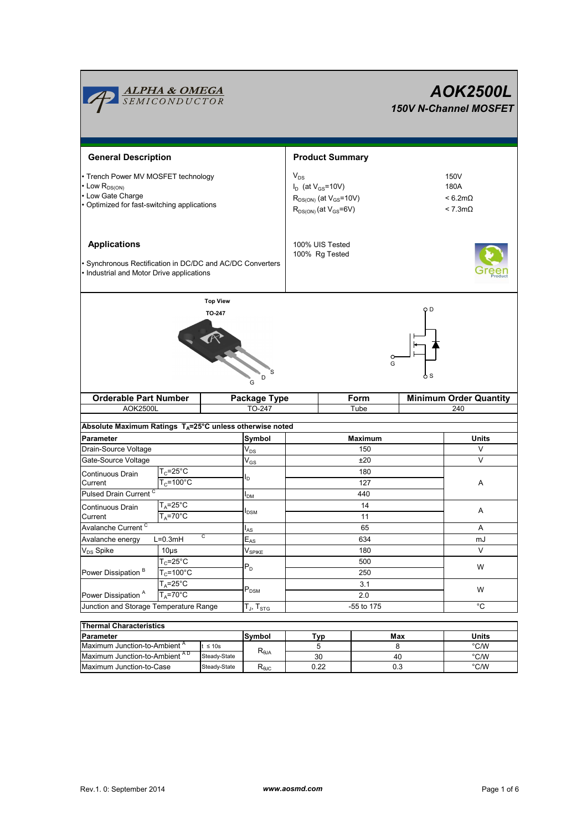|                                                                                                                               | <b>ALPHA &amp; OMEGA</b><br>SEMICONDUCTOR       |                                                                      |                            |                                                                                               |                                                           | <b>AOK2500L</b><br><b>150V N-Channel MOSFET</b> |
|-------------------------------------------------------------------------------------------------------------------------------|-------------------------------------------------|----------------------------------------------------------------------|----------------------------|-----------------------------------------------------------------------------------------------|-----------------------------------------------------------|-------------------------------------------------|
| <b>General Description</b>                                                                                                    |                                                 |                                                                      |                            | <b>Product Summary</b>                                                                        |                                                           |                                                 |
| • Trench Power MV MOSFET technology<br>• Low $R_{DS(ON)}$<br>• Low Gate Charge<br>• Optimized for fast-switching applications |                                                 |                                                                      | $\mathsf{V}_{\mathsf{DS}}$ | $I_D$ (at $V_{GS}$ =10V)<br>$R_{DS(ON)}$ (at $V_{GS}$ =10V)<br>$R_{DS(ON)}$ (at $V_{GS}$ =6V) | 150V<br>180A<br>$< 6.2 m\Omega$<br>$< 7.3 \text{m}\Omega$ |                                                 |
| <b>Applications</b><br>· Synchronous Rectification in DC/DC and AC/DC Converters<br>• Industrial and Motor Drive applications |                                                 |                                                                      |                            | 100% UIS Tested<br>100% Rg Tested                                                             |                                                           |                                                 |
|                                                                                                                               |                                                 | <b>Top View</b><br>TO 247<br>.<br>D<br>G                             |                            |                                                                                               | O D<br>o<br>G<br>o S                                      |                                                 |
| <b>Orderable Part Number</b><br><b>AOK2500L</b>                                                                               |                                                 | Package Type<br>TO-247                                               | Form<br>Tube               |                                                                                               |                                                           | <b>Minimum Order Quantity</b><br>240            |
|                                                                                                                               |                                                 |                                                                      |                            |                                                                                               |                                                           |                                                 |
|                                                                                                                               |                                                 | Absolute Maximum Ratings T <sub>A</sub> =25°C unless otherwise noted |                            |                                                                                               |                                                           |                                                 |
| Parameter<br>Drain-Source Voltage                                                                                             |                                                 | Symbol<br>$V_{DS}$                                                   |                            | Maximum<br>150                                                                                |                                                           | Units<br>V                                      |
| Gate-Source Voltage                                                                                                           |                                                 | $\rm V_{GS}$                                                         |                            | ±20                                                                                           |                                                           | V                                               |
| Continuous Drain                                                                                                              | $T_c = 25$ °C                                   |                                                                      |                            | 180                                                                                           |                                                           |                                                 |
| Current                                                                                                                       | $T_c = 100^{\circ}$ C                           | l <sub>D</sub>                                                       |                            | 127                                                                                           |                                                           | Α                                               |
| Pulsed Drain Current <sup>C</sup>                                                                                             |                                                 | I <sub>DM</sub>                                                      |                            | 440                                                                                           |                                                           |                                                 |
| Continuous Drain                                                                                                              | T <sub>A</sub> =25°C                            |                                                                      |                            | 14                                                                                            |                                                           |                                                 |
| Current                                                                                                                       | $T_A = 70^{\circ}$ C                            | <b>I</b> <sub>DSM</sub>                                              |                            | 11                                                                                            | A                                                         |                                                 |
| Avalanche Current <sup>C</sup>                                                                                                |                                                 | $I_{AS}$                                                             |                            | 65                                                                                            |                                                           | Α                                               |
| Avalanche energy                                                                                                              | С<br>$\overline{E}_{AS}$<br>$L=0.3mH$           |                                                                      |                            | 634                                                                                           | mJ                                                        |                                                 |
| V <sub>DS</sub> Spike                                                                                                         | 10 <sub>µ</sub> s<br>$V_{SPIKE}$                |                                                                      |                            | 180                                                                                           | V                                                         |                                                 |
| Power Dissipation <sup>B</sup>                                                                                                | $\overline{T_{C}}$ =25°C                        |                                                                      |                            | 500                                                                                           | W                                                         |                                                 |
|                                                                                                                               | $T_c = 100^{\circ}$ C                           | $P_D$                                                                |                            | 250                                                                                           |                                                           |                                                 |
|                                                                                                                               | $T_A = 25^\circ C$                              |                                                                      |                            | 3.1                                                                                           |                                                           |                                                 |
| Power Dissipation <sup>A</sup>                                                                                                | $\mathsf{P}_\mathsf{DSM}$<br>$T_A = 70^\circ C$ |                                                                      |                            | 2.0                                                                                           |                                                           | W                                               |
| Junction and Storage Temperature Range                                                                                        |                                                 | $\mathsf{T}_{\mathsf{J}},\,\mathsf{T}_{\mathsf{STG}}$                | -55 to 175                 |                                                                                               |                                                           | °C                                              |
| <b>Thermal Characteristics</b>                                                                                                |                                                 | Symbol                                                               |                            | <u>Typ</u>                                                                                    | Max                                                       | Units                                           |

| <b>Thermal Characteristics</b>           |              |                                  |      |     |              |  |  |  |
|------------------------------------------|--------------|----------------------------------|------|-----|--------------|--|--|--|
| <b>Parameter</b>                         |              | Symbol                           | Tvɒ  | Max | <b>Units</b> |  |  |  |
| Maximum Junction-to-Ambient <sup>A</sup> | $\leq 10s$   |                                  |      |     | °C/W         |  |  |  |
| Maximum Junction-to-Ambient AD           | Steady-State | $\mathsf{R}_{\theta\mathsf{JA}}$ | 30   | 40  | °C/W         |  |  |  |
| Maximum Junction-to-Case                 | Steady-State | <b>N</b> <sub>0</sub> JC         | 0.22 | 0.3 | °C/W         |  |  |  |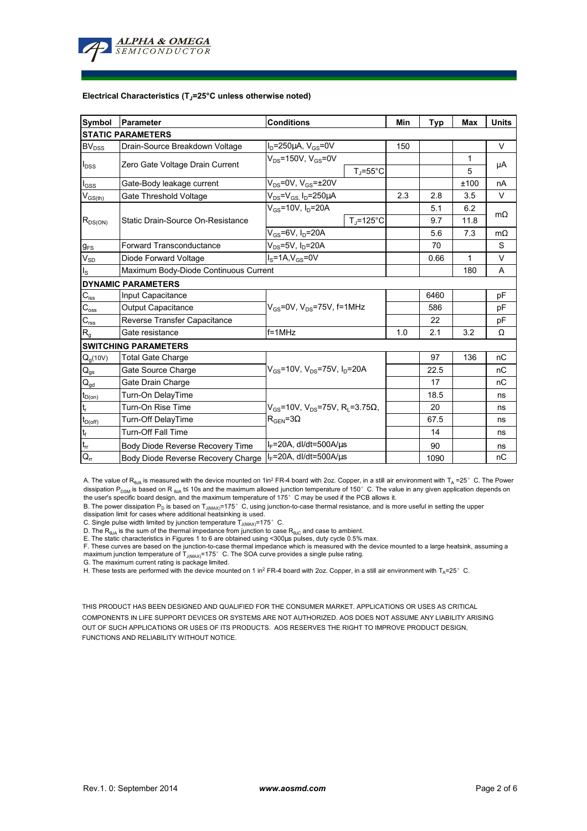

#### **Electrical Characteristics (TJ=25°C unless otherwise noted)**

| Symbol                                 | Parameter                             | <b>Conditions</b>                                                                         |                     | Min | <b>Typ</b> | Max       | <b>Units</b> |  |  |  |
|----------------------------------------|---------------------------------------|-------------------------------------------------------------------------------------------|---------------------|-----|------------|-----------|--------------|--|--|--|
| <b>STATIC PARAMETERS</b>               |                                       |                                                                                           |                     |     |            |           |              |  |  |  |
| $BV_{DSS}$                             | Drain-Source Breakdown Voltage        | $I_D = 250 \mu A$ , $V_{GS} = 0V$                                                         |                     | 150 |            |           | V            |  |  |  |
| $I_{DSS}$                              | Zero Gate Voltage Drain Current       | $V_{DS}$ =150V, $V_{GS}$ =0V                                                              |                     |     |            | 1         | μA           |  |  |  |
|                                        |                                       |                                                                                           | $T_J = 55^{\circ}C$ |     |            | 5         |              |  |  |  |
| $I_{GSS}$                              | Gate-Body leakage current             | $V_{DS}$ =0V, $V_{GS}$ = $\pm$ 20V                                                        |                     |     |            | ±100      | nA           |  |  |  |
| $V_{G\underline{S(th)}}$               | Gate Threshold Voltage                | $V_{DS} = V_{GS}$ , $I_D = 250 \mu A$                                                     | 2.3                 | 2.8 | 3.5        | V         |              |  |  |  |
| $R_{DS(ON)}$                           |                                       | $V_{GS}$ =10V, I <sub>D</sub> =20A                                                        |                     |     | 5.1        | 6.2       | $m\Omega$    |  |  |  |
|                                        | Static Drain-Source On-Resistance     |                                                                                           | $T_i = 125$ °C      |     | 9.7        | 11.8      |              |  |  |  |
|                                        |                                       | $V_{GS}$ =6V, I <sub>D</sub> =20A                                                         |                     | 5.6 | 7.3        | $m\Omega$ |              |  |  |  |
| $g_{FS}$                               | Forward Transconductance              | $V_{DS}$ =5V, $I_D$ =20A                                                                  |                     |     | 70         |           | S            |  |  |  |
| $V_{SD}$                               | Diode Forward Voltage                 | $IS=1A, VGS=0V$                                                                           |                     |     | 0.66       | 1         | V            |  |  |  |
| $I_{\rm S}$                            | Maximum Body-Diode Continuous Current |                                                                                           |                     |     | 180        | A         |              |  |  |  |
|                                        | <b>DYNAMIC PARAMETERS</b>             |                                                                                           |                     |     |            |           |              |  |  |  |
| $C_{\mathsf{iss}}$                     | Input Capacitance                     | $V_{GS}$ =0V, $V_{DS}$ =75V, f=1MHz                                                       |                     |     | 6460       |           | pF           |  |  |  |
| $C_{\rm oss}$                          | Output Capacitance                    |                                                                                           |                     |     | 586        |           | рF           |  |  |  |
| $\mathbf{C}_{\text{rss}}$              | Reverse Transfer Capacitance          |                                                                                           |                     |     | 22         |           | рF           |  |  |  |
| $R_{g}$                                | Gate resistance                       | $f = 1$ MHz                                                                               |                     | 1.0 | 2.1        | 3.2       | Ω            |  |  |  |
|                                        | <b>SWITCHING PARAMETERS</b>           |                                                                                           |                     |     |            |           |              |  |  |  |
| $Q_g(10V)$                             | <b>Total Gate Charge</b>              | $V_{GS}$ =10V, $V_{DS}$ =75V, $I_D$ =20A                                                  |                     |     | 97         | 136       | nC           |  |  |  |
| $\mathsf{Q}_{\text{gs}}$               | Gate Source Charge                    |                                                                                           |                     |     | 22.5       |           | nC           |  |  |  |
| $\mathsf{Q}_{\underline{\mathsf{gd}}}$ | Gate Drain Charge                     |                                                                                           |                     |     | 17         |           | nC           |  |  |  |
| $t_{D(0n)}$                            | Turn-On DelayTime                     |                                                                                           |                     |     | 18.5       |           | ns           |  |  |  |
| $\mathsf{t}_{\mathsf{r}}$              | Turn-On Rise Time                     | $V_{GS}$ =10V, V <sub>DS</sub> =75V, R <sub>L</sub> =3.75Ω,<br>$R_{\text{GEN}} = 3\Omega$ |                     |     | 20         |           | ns           |  |  |  |
| $t_{D(off)}$                           | Turn-Off DelayTime                    |                                                                                           |                     |     | 67.5       |           | ns           |  |  |  |
| $\mathbf{t}_\mathrm{f}$                | <b>Turn-Off Fall Time</b>             |                                                                                           |                     |     | 14         |           | ns           |  |  |  |
| $\mathfrak{t}_{\text{rr}}$             | Body Diode Reverse Recovery Time      | $I_F$ =20A, dl/dt=500A/ $\mu$ s                                                           |                     |     | 90         |           | ns           |  |  |  |
| $Q_{rr}$                               | Body Diode Reverse Recovery Charge    | $I_F$ =20A, dl/dt=500A/us                                                                 |                     |     | 1090       |           | nC           |  |  |  |

A. The value of R<sub>θJA</sub> is measured with the device mounted on 1in<sup>2</sup> FR-4 board with 2oz. Copper, in a still air environment with T<sub>A</sub> =25° C. The Power dissipation P<sub>DSM</sub> is based on R <sub>θJA</sub> t≤ 10s and the maximum allowed junction temperature of 150°C. The value in any given application depends on the user's specific board design, and the maximum temperature of 175°C may be used if the PCB allows it.

B. The power dissipation P<sub>D</sub> is based on T<sub>J(MAX)</sub>=175°C, using junction-to-case thermal resistance, and is more useful in setting the upper dissipation limit for cases where additional heatsinking is used.

C. Single pulse width limited by junction temperature  $T_{J(MAX)}$ =175°C.

D. The  $R_{\theta JA}$  is the sum of the thermal impedance from junction to case  $R_{\theta JC}$  and case to ambient.

E. The static characteristics in Figures 1 to 6 are obtained using <300µs pulses, duty cycle 0.5% max.<br>F. These curves are based on the junction-to-case thermal impedance which is measured with the device mounted to a lar

H. These tests are performed with the device mounted on 1 in<sup>2</sup> FR-4 board with 2oz. Copper, in a still air environment with T<sub>A</sub>=25°C.

THIS PRODUCT HAS BEEN DESIGNED AND QUALIFIED FOR THE CONSUMER MARKET. APPLICATIONS OR USES AS CRITICAL COMPONENTS IN LIFE SUPPORT DEVICES OR SYSTEMS ARE NOT AUTHORIZED. AOS DOES NOT ASSUME ANY LIABILITY ARISING OUT OF SUCH APPLICATIONS OR USES OF ITS PRODUCTS. AOS RESERVES THE RIGHT TO IMPROVE PRODUCT DESIGN, FUNCTIONS AND RELIABILITY WITHOUT NOTICE.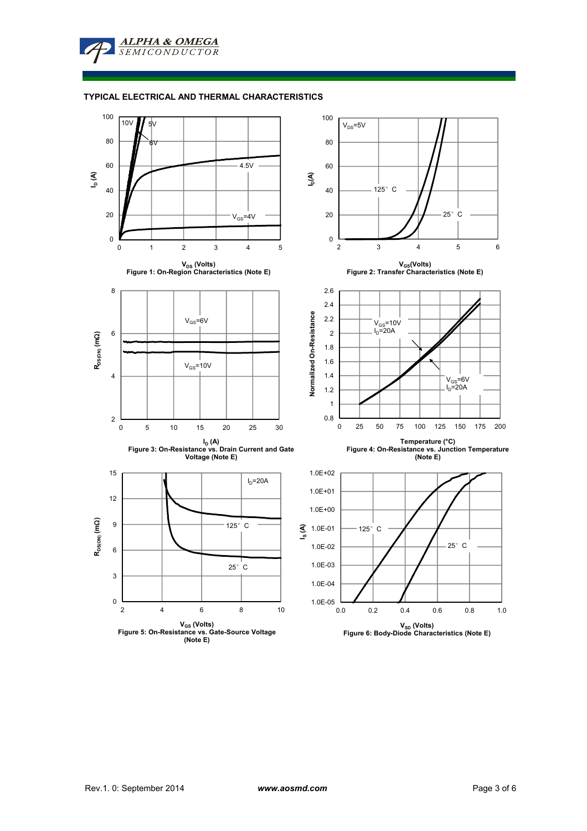**ALPHA & OMEGA SEMICONDUCTOR** 

## **TYPICAL ELECTRICAL AND THERMAL CHARACTERISTICS**

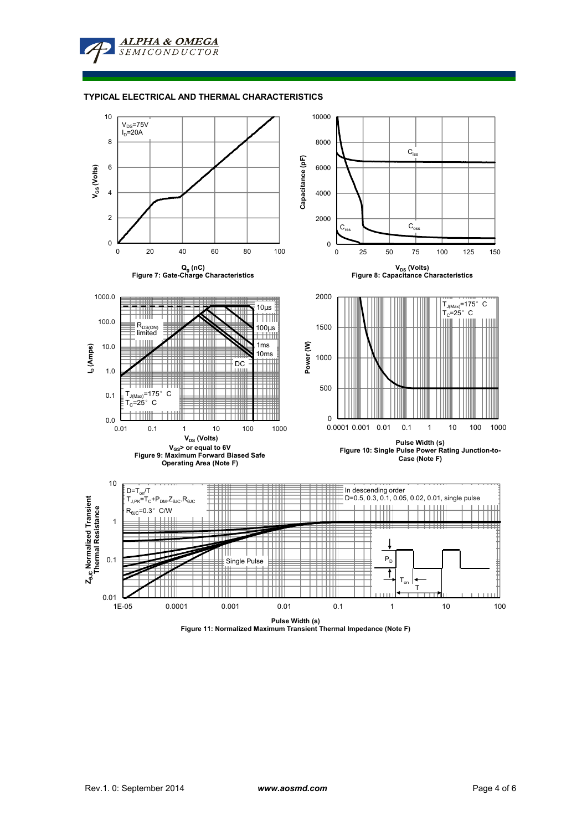**ALPHA & OMEGA** SEMICONDUCTOR

#### **TYPICAL ELECTRICAL AND THERMAL CHARACTERISTICS**



**Pulse Width (s) Figure 11: Normalized Maximum Transient Thermal Impedance (Note F)**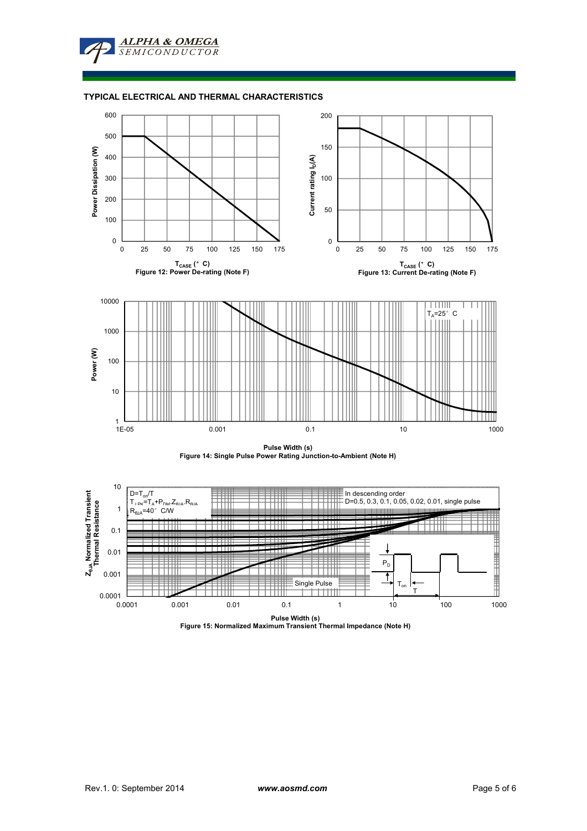**ALPHA & OMEGA**  $SFMICONDIICTOR$ 

## **TYPICAL ELECTRICAL AND THERMAL CHARACTERISTICS**